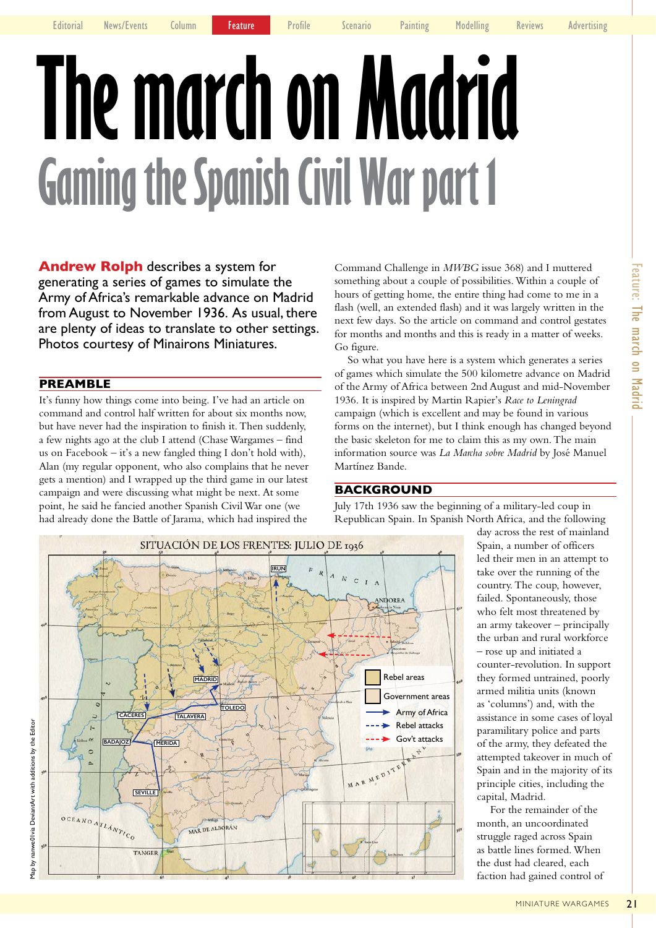# **The march on Madrid Gaming the Spanish Civil War part 1**

**Andrew Rolph** describes a system for generating a series of games to simulate the Army of Africa's remarkable advance on Madrid from August to November 1936. As usual, there are plenty of ideas to translate to other settings. Photos courtesy of Minairons Miniatures.

## **PREAMBLE**

It's funny how things come into being. I've had an article on command and control half written for about six months now, but have never had the inspiration to finish it. Then suddenly, a few nights ago at the club I attend (Chase Wargames – find us on Facebook – it's a new fangled thing I don't hold with), Alan (my regular opponent, who also complains that he never gets a mention) and I wrapped up the third game in our latest campaign and were discussing what might be next. At some point, he said he fancied another Spanish Civil War one (we had already done the Battle of Jarama, which had inspired the

Command Challenge in *MWBG* issue 368) and I muttered something about a couple of possibilities. Within a couple of hours of getting home, the entire thing had come to me in a flash (well, an extended flash) and it was largely written in the next few days. So the article on command and control gestates for months and months and this is ready in a matter of weeks. Go figure.

So what you have here is a system which generates a series of games which simulate the 500 kilometre advance on Madrid of the Army of Africa between 2nd August and mid-November 1936. It is inspired by Martin Rapier's *Race to Leningrad* campaign (which is excellent and may be found in various forms on the internet), but I think enough has changed beyond the basic skeleton for me to claim this as my own. The main information source was *La Marcha sobre Madrid* by José Manuel Martínez Bande.

# **BACKGROUND**

July 17th 1936 saw the beginning of a military-led coup in Republican Spain. In Spanish North Africa, and the following

> day across the rest of mainland Spain, a number of officers led their men in an attempt to take over the running of the country. The coup, however, failed. Spontaneously, those who felt most threatened by an army takeover – principally the urban and rural workforce – rose up and initiated a counter-revolution. In support they formed untrained, poorly armed militia units (known as 'columns') and, with the assistance in some cases of loyal paramilitary police and parts of the army, they defeated the attempted takeover in much of Spain and in the majority of its principle cities, including the capital, Madrid.

For the remainder of the month, an uncoordinated struggle raged across Spain as battle lines formed. When the dust had cleared, each faction had gained control of

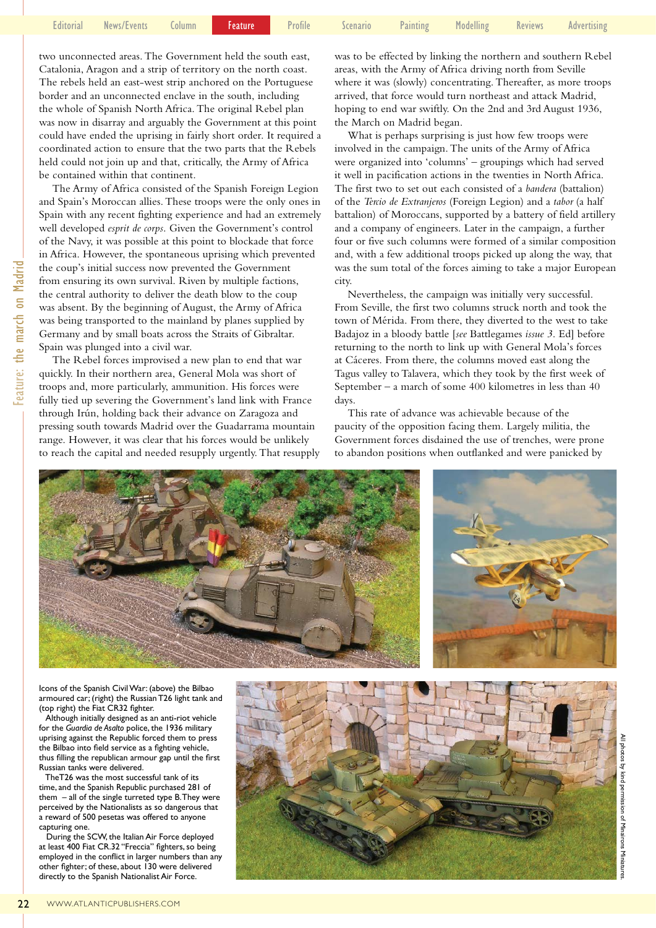|  | - Editorial News/Events Column <mark>- Feature -</mark> Profile - Scenario - Painting - Modelling - Reviews - Advertising |  |  |  |  |  |  |  |  |
|--|---------------------------------------------------------------------------------------------------------------------------|--|--|--|--|--|--|--|--|
|--|---------------------------------------------------------------------------------------------------------------------------|--|--|--|--|--|--|--|--|

two unconnected areas. The Government held the south east, Catalonia, Aragon and a strip of territory on the north coast. The rebels held an east-west strip anchored on the Portuguese border and an unconnected enclave in the south, including the whole of Spanish North Africa. The original Rebel plan was now in disarray and arguably the Government at this point could have ended the uprising in fairly short order. It required a coordinated action to ensure that the two parts that the Rebels held could not join up and that, critically, the Army of Africa be contained within that continent.

The Army of Africa consisted of the Spanish Foreign Legion and Spain's Moroccan allies. These troops were the only ones in Spain with any recent fighting experience and had an extremely well developed *esprit de corps*. Given the Government's control of the Navy, it was possible at this point to blockade that force in Africa. However, the spontaneous uprising which prevented the coup's initial success now prevented the Government from ensuring its own survival. Riven by multiple factions, the central authority to deliver the death blow to the coup was absent. By the beginning of August, the Army of Africa was being transported to the mainland by planes supplied by Germany and by small boats across the Straits of Gibraltar. Spain was plunged into a civil war.

The Rebel forces improvised a new plan to end that war quickly. In their northern area, General Mola was short of troops and, more particularly, ammunition. His forces were fully tied up severing the Government's land link with France through Irún, holding back their advance on Zaragoza and pressing south towards Madrid over the Guadarrama mountain range. However, it was clear that his forces would be unlikely to reach the capital and needed resupply urgently. That resupply was to be effected by linking the northern and southern Rebel areas, with the Army of Africa driving north from Seville where it was (slowly) concentrating. Thereafter, as more troops arrived, that force would turn northeast and attack Madrid, hoping to end war swiftly. On the 2nd and 3rd August 1936, the March on Madrid began.

What is perhaps surprising is just how few troops were involved in the campaign. The units of the Army of Africa were organized into 'columns' – groupings which had served it well in pacification actions in the twenties in North Africa. The first two to set out each consisted of a *bandera* (battalion) of the *Tercio de Extranjeros* (Foreign Legion) and a *tabor* (a half battalion) of Moroccans, supported by a battery of field artillery and a company of engineers. Later in the campaign, a further four or five such columns were formed of a similar composition and, with a few additional troops picked up along the way, that was the sum total of the forces aiming to take a major European city.

Nevertheless, the campaign was initially very successful. From Seville, the first two columns struck north and took the town of Mérida. From there, they diverted to the west to take Badajoz in a bloody battle [*see* Battlegames *issue 3*. Ed] before returning to the north to link up with General Mola's forces at Cáceres. From there, the columns moved east along the Tagus valley to Talavera, which they took by the first week of September – a march of some 400 kilometres in less than 40 days.

This rate of advance was achievable because of the paucity of the opposition facing them. Largely militia, the Government forces disdained the use of trenches, were prone to abandon positions when outflanked and were panicked by





All

Minairons

Miniatures.

Miniatu

Icons of the Spanish CivilWar: (above) the Bilbao armoured car; (right) the RussianT26 light tank and (top right) the Fiat CR32 fighter.

 Although initially designed as an anti-riot vehicle for the *Guardia de Asalto* police, the 1936 military uprising against the Republic forced them to press the Bilbao into field service as a fighting vehicle, thus filling the republican armour gap until the first Russian tanks were delivered.

 TheT26 was the most successful tank of its time, and the Spanish Republic purchased 281 of them – all of the single turreted type B.They were perceived by the Nationalists as so dangerous that a reward of 500 pesetas was offered to anyone capturing one.

 During the SCW, the Italian Air Force deployed at least 400 Fiat CR.32 "Freccia" fighters, so being employed in the conflict in larger numbers than any other fighter; of these, about 130 were delivered directly to the Spanish Nationalist Air Force.

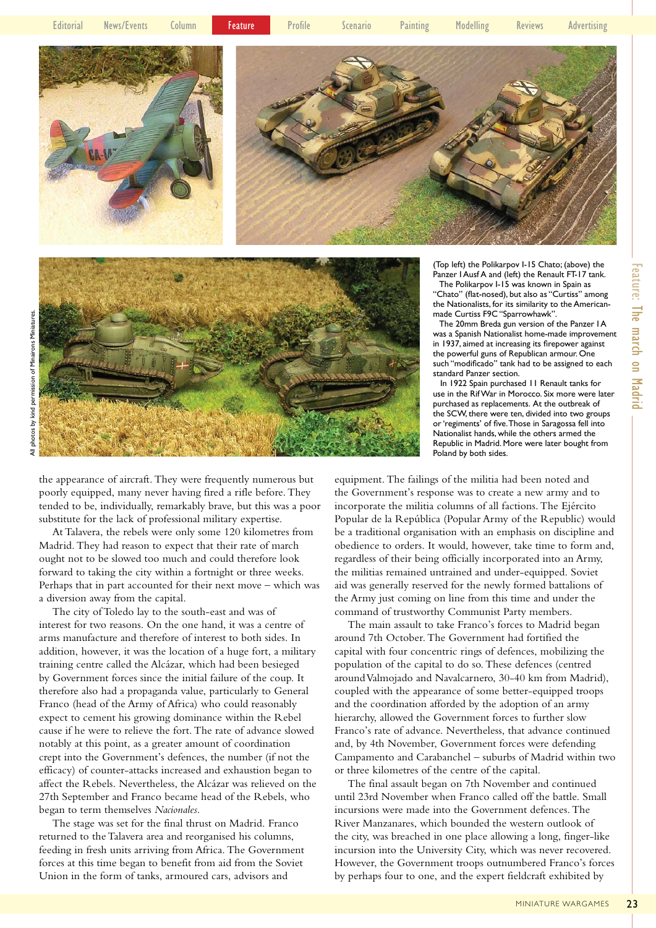

(Top left) the Polikarpov I-15 Chato; (above) the Panzer I Ausf A and (left) the Renault FT-17 tank.

 The Polikarpov I-15 was known in Spain as "Chato" (flat-nosed), but also as "Curtiss" among the Nationalists, for its similarity to the Americanmade Curtiss F9C "Sparrowhawk".

 The 20mm Breda gun version of the Panzer I A was a Spanish Nationalist home-made improvement in 1937, aimed at increasing its firepower against the powerful guns of Republican armour. One such "modificado" tank had to be assigned to each standard Panzer section.

 Feature: The march on Madrid **Feature: The march on Madrid** 

 In 1922 Spain purchased 11 Renault tanks for use in the RifWar in Morocco. Six more were later purchased as replacements. At the outbreak of the SCW, there were ten, divided into two groups or'regiments' of five.Those in Saragossa fell into Nationalist hands, while the others armed the Republic in Madrid. More were later bought from Poland by both sides.

the appearance of aircraft. They were frequently numerous but poorly equipped, many never having fired a rifle before. They tended to be, individually, remarkably brave, but this was a poor substitute for the lack of professional military expertise.

At Talavera, the rebels were only some 120 kilometres from Madrid. They had reason to expect that their rate of march ought not to be slowed too much and could therefore look forward to taking the city within a fortnight or three weeks. Perhaps that in part accounted for their next move – which was a diversion away from the capital.

The city of Toledo lay to the south-east and was of interest for two reasons. On the one hand, it was a centre of arms manufacture and therefore of interest to both sides. In addition, however, it was the location of a huge fort, a military training centre called the Alcázar, which had been besieged by Government forces since the initial failure of the coup. It therefore also had a propaganda value, particularly to General Franco (head of the Army of Africa) who could reasonably expect to cement his growing dominance within the Rebel cause if he were to relieve the fort. The rate of advance slowed notably at this point, as a greater amount of coordination crept into the Government's defences, the number (if not the efficacy) of counter-attacks increased and exhaustion began to affect the Rebels. Nevertheless, the Alcázar was relieved on the 27th September and Franco became head of the Rebels, who began to term themselves *Nacionales*.

The stage was set for the final thrust on Madrid. Franco returned to the Talavera area and reorganised his columns, feeding in fresh units arriving from Africa. The Government forces at this time began to benefit from aid from the Soviet Union in the form of tanks, armoured cars, advisors and

equipment. The failings of the militia had been noted and the Government's response was to create a new army and to incorporate the militia columns of all factions. The Ejército Popular de la República (Popular Army of the Republic) would be a traditional organisation with an emphasis on discipline and obedience to orders. It would, however, take time to form and, regardless of their being officially incorporated into an Army, the militias remained untrained and under-equipped. Soviet aid was generally reserved for the newly formed battalions of the Army just coming on line from this time and under the command of trustworthy Communist Party members.

The main assault to take Franco's forces to Madrid began around 7th October. The Government had fortified the capital with four concentric rings of defences, mobilizing the population of the capital to do so. These defences (centred around Valmojado and Navalcarnero, 30-40 km from Madrid), coupled with the appearance of some better-equipped troops and the coordination afforded by the adoption of an army hierarchy, allowed the Government forces to further slow Franco's rate of advance. Nevertheless, that advance continued and, by 4th November, Government forces were defending Campamento and Carabanchel – suburbs of Madrid within two or three kilometres of the centre of the capital.

The final assault began on 7th November and continued until 23rd November when Franco called off the battle. Small incursions were made into the Government defences. The River Manzanares, which bounded the western outlook of the city, was breached in one place allowing a long, finger-like incursion into the University City, which was never recovered. However, the Government troops outnumbered Franco's forces by perhaps four to one, and the expert fieldcraft exhibited by